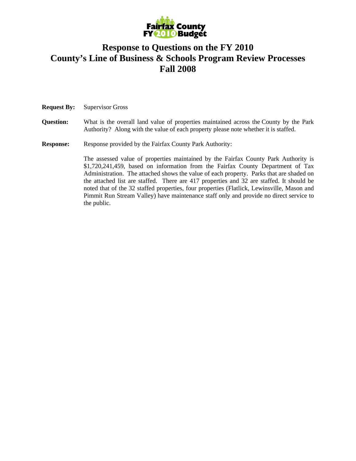

# **Response to Questions on the FY 2010 County's Line of Business & Schools Program Review Processes Fall 2008**

**Request By:** Supervisor Gross

#### **Question:** What is the overall land value of properties maintained across the County by the Park Authority? Along with the value of each property please note whether it is staffed.

**Response:** Response provided by the Fairfax County Park Authority:

The assessed value of properties maintained by the Fairfax County Park Authority is \$1,720,241,459, based on information from the Fairfax County Department of Tax Administration. The attached shows the value of each property. Parks that are shaded on the attached list are staffed. There are 417 properties and 32 are staffed. It should be noted that of the 32 staffed properties, four properties (Flatlick, Lewinsville, Mason and Pimmit Run Stream Valley) have maintenance staff only and provide no direct service to the public.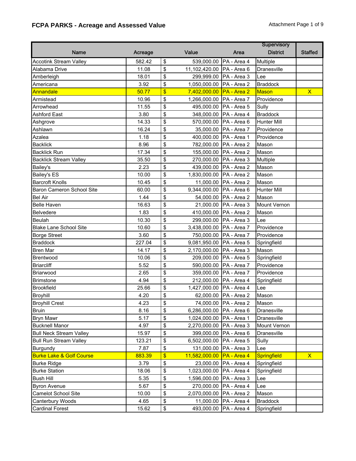# **FCPA PARKS - Acreage and Assessed Value Attachment Page 1 of 9** Attachment Page 1 of 9

|                                     |         |               |                            |                         | Supervisory     |                |
|-------------------------------------|---------|---------------|----------------------------|-------------------------|-----------------|----------------|
| Name                                | Acreage |               | Value                      | Area                    | <b>District</b> | <b>Staffed</b> |
| <b>Accotink Stream Valley</b>       | 582.42  | \$            | 539,000.00                 | PA - Area 4             | Multiple        |                |
| Alabama Drive                       | 11.08   | \$            | 11,102,420.00              | PA - Area 6             | Dranesville     |                |
| Amberleigh                          | 18.01   | \$            | 299,999.00 PA - Area 3     |                         | Lee             |                |
| Americana                           | 3.92    | \$            | 1,050,000.00               | PA - Area 2             | <b>Braddock</b> |                |
| Annandale                           | 50.77   | $\frac{1}{2}$ | 7,402,000.00               | PA - Area 2             | <b>Mason</b>    | $\mathsf{X}$   |
| Armistead                           | 10.96   | \$            | 1,266,000.00               | PA - Area 7             | Providence      |                |
| Arrowhead                           | 11.55   | \$            | 495,000.00                 | PA - Area 5             | Sully           |                |
| <b>Ashford East</b>                 | 3.80    | \$            | 348,000.00                 | PA - Area 4             | <b>Braddock</b> |                |
| Ashgrove                            | 14.33   | \$            | 570,000.00                 | PA - Area 6             | Hunter Mill     |                |
| Ashlawn                             | 16.24   | \$            |                            | 35,000.00   PA - Area 7 | Providence      |                |
| Azalea                              | 1.18    | \$            | 400,000.00   PA - Area 1   |                         | Providence      |                |
| <b>Backlick</b>                     | 8.96    | \$            | 782,000.00                 | PA - Area 2             | Mason           |                |
| <b>Backlick Run</b>                 | 17.34   | \$            | 155,000.00                 | PA - Area 2             | Mason           |                |
| <b>Backlick Stream Valley</b>       | 35.50   | \$            | 270,000.00                 | PA - Area 3             | Multiple        |                |
| Bailey's                            | 2.23    | \$            | 439,000.00                 | PA - Area 2             | Mason           |                |
| <b>Bailey's ES</b>                  | 10.00   | \$            | 1,830,000.00 PA - Area 2   |                         | Mason           |                |
| <b>Barcroft Knolls</b>              | 10.45   | \$            | 11,000.00                  | PA - Area 2             | Mason           |                |
| Baron Cameron School Site           | 60.00   | \$            | 9,344,000.00               | PA - Area 6             | Hunter Mill     |                |
| <b>Bel Air</b>                      | 1.44    | \$            | 54,000.00                  | PA - Area 2             | Mason           |                |
| <b>Belle Haven</b>                  | 16.63   | \$            | 21,000.00                  | PA - Area 3             | Mount Vernon    |                |
| Belvedere                           | 1.83    | \$            | 410,000.00                 | PA - Area 2             | Mason           |                |
| Beulah                              | 10.30   | \$            | 299,000.00   PA - Area 3   |                         | Lee             |                |
| <b>Blake Lane School Site</b>       | 10.60   | \$            | 3,438,000.00   PA - Area 7 |                         | Providence      |                |
| <b>Borge Street</b>                 | 3.60    | \$            | 750,000.00   PA - Area 7   |                         | Providence      |                |
| <b>Braddock</b>                     | 227.04  | \$            | 9,081,950.00               | PA - Area 5             | Springfield     |                |
| <b>Bren Mar</b>                     | 14.17   | \$            | 2,170,000.00               | PA - Area 3             | Mason           |                |
| Brentwood                           | 10.06   | \$            | 209,000.00                 | PA - Area 5             | Springfield     |                |
| <b>Briarcliff</b>                   | 5.52    | \$            | 590,000.00                 | PA - Area 7             | Providence      |                |
| Briarwood                           | 2.65    | \$            | 359,000.00 PA - Area 7     |                         | Providence      |                |
| <b>Brimstone</b>                    | 4.94    | \$            | 212,000.00   PA - Area 4   |                         | Springfield     |                |
| <b>Brookfield</b>                   | 25.66   | \$            | 1,427,000.00 PA - Area 4   |                         | Lee             |                |
| <b>Broyhill</b>                     | 4.20    | \$            |                            | 62,000.00 PA - Area 2   | Mason           |                |
| <b>Broyhill Crest</b>               | 4.23    | \$            |                            | 74,000.00 PA - Area 2   | Mason           |                |
| <b>Bruin</b>                        | 8.16    | \$            | 6,286,000.00 PA - Area 6   |                         | Dranesville     |                |
| <b>Bryn Mawr</b>                    | 5.17    | \$            | 1,024,000.00   PA - Area 1 |                         | Dranesville     |                |
| <b>Bucknell Manor</b>               | 4.97    | \$            | 2,270,000.00   PA - Area 3 |                         | Mount Vernon    |                |
| <b>Bull Neck Stream Valley</b>      | 15.97   | \$            | 399,000.00                 | PA - Area 6             | Dranesville     |                |
| <b>Bull Run Stream Valley</b>       | 123.21  | \$            | 6,502,000.00               | PA - Area 5             | Sully           |                |
| Burgundy                            | 7.87    | \$            | 131,000.00                 | PA - Area 3             | Lee             |                |
| <b>Burke Lake &amp; Golf Course</b> | 883.39  | $\frac{1}{2}$ | 11,582,000.00              | PA - Area 4             | Springfield     | $\mathsf{X}$   |
| <b>Burke Ridge</b>                  | 3.79    | \$            | 23,000.00                  | PA - Area 4             | Springfield     |                |
| <b>Burke Station</b>                | 18.06   | \$            | 1,023,000.00               | PA - Area 4             | Springfield     |                |
| <b>Bush Hill</b>                    | 5.35    | \$            | 1,596,000.00               | PA - Area 3             | Lee             |                |
| <b>Byron Avenue</b>                 | 5.67    | \$            | 270,000.00                 | PA - Area 4             | Lee             |                |
| <b>Camelot School Site</b>          | 10.00   | \$            | 2,070,000.00               | PA - Area 2             | Mason           |                |
| Canterbury Woods                    | 4.65    | \$            | 11,000.00                  | PA - Area 4             | <b>Braddock</b> |                |
| <b>Cardinal Forest</b>              | 15.62   | \$            | 493,000.00                 | PA - Area 4             | Springfield     |                |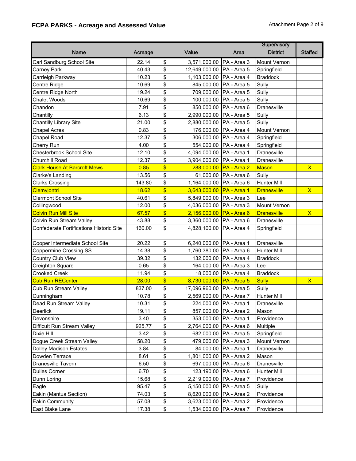# **FCPA PARKS - Acreage and Assessed Value Attachment Page 2 of 9** Attachment Page 2 of 9

|                                                 |         |                                  |                          | Supervisory        |                         |
|-------------------------------------------------|---------|----------------------------------|--------------------------|--------------------|-------------------------|
| Name                                            | Acreage | Value                            | Area                     | <b>District</b>    | <b>Staffed</b>          |
| Carl Sandburg School Site                       | 22.14   | \$<br>3,571,000.00               | PA - Area 3              | Mount Vernon       |                         |
| Carney Park                                     | 40.43   | \$<br>12,649,000.00              | PA - Area 5              | Springfield        |                         |
| Carrleigh Parkway                               | 10.23   | \$<br>1,103,000.00   PA - Area 4 |                          | <b>Braddock</b>    |                         |
| Centre Ridge                                    | 10.69   | \$<br>845,000.00                 | PA - Area 5              | Sully              |                         |
| Centre Ridge North                              | 19.24   | \$<br>709,000.00                 | PA - Area 5              | Sully              |                         |
| <b>Chalet Woods</b>                             | 10.69   | \$<br>100,000.00                 | PA - Area 5              | Sully              |                         |
| Chandon                                         | 7.91    | \$<br>850,000.00                 | PA - Area 6              | Dranesville        |                         |
| Chantilly                                       | 6.13    | \$<br>2,990,000.00               | PA - Area 5              | Sully              |                         |
| Chantilly Library Site                          | 21.00   | \$<br>2,880,000.00               | PA - Area 5              | Sully              |                         |
| <b>Chapel Acres</b>                             | 0.83    | \$<br>176,000.00                 | PA - Area 4              | Mount Vernon       |                         |
| Chapel Road                                     | 12.37   | \$<br>306,000.00                 | PA - Area 4              | Springfield        |                         |
| Cherry Run                                      | 4.00    | \$<br>554,000.00                 | PA - Area 4              | Springfield        |                         |
| Chesterbrook School Site                        | 12.10   | \$<br>4,094,000.00               | PA - Area 1              | Dranesville        |                         |
| Churchill Road                                  | 12.37   | \$<br>3,904,000.00               | PA - Area 1              | Dranesville        |                         |
| <b>Clark House At Barcroft Mews</b>             | 0.85    | \$<br>288,000.00                 | PA - Area 2              | <b>Mason</b>       | $\mathsf{X}$            |
| Clarke's Landing                                | 13.56   | \$<br>61,000.00                  | PA - Area 6              | Sully              |                         |
| <b>Clarks Crossing</b>                          | 143.80  | \$<br>1,164,000.00               | PA - Area 6              | Hunter Mill        |                         |
| Clemyjontri                                     | 18.62   | \$<br>3,643,000.00               | PA - Area 1              | <b>Dranesville</b> | $\mathsf{X}$            |
| Clermont School Site                            | 40.61   | \$<br>5,849,000.00               | PA - Area 3              | Lee                |                         |
| Collingwood                                     | 12.00   | \$<br>4,036,000.00               | PA - Area 3              | Mount Vernon       |                         |
| <b>Colvin Run Mill Site</b>                     | 67.57   | \$<br>2,156,000.00               | PA - Area 6              | <b>Dranesville</b> | $\mathsf{X}$            |
| Colvin Run Stream Valley                        | 43.88   | \$<br>3,360,000.00   PA - Area 6 |                          | Dranesville        |                         |
| <b>Confederate Fortifications Historic Site</b> | 160.00  | \$<br>4,828,100.00               | PA - Area 4              | Springfield        |                         |
| Cooper Intermediate School Site                 | 20.22   | \$<br>6,240,000.00               | PA - Area 1              | Dranesville        |                         |
| <b>Coppermine Crossing SS</b>                   | 14.38   | \$<br>1,760,380.00               | PA - Area 6              | Hunter Mill        |                         |
| Country Club View                               | 39.32   | \$<br>132,000.00                 | PA - Area 4              | <b>Braddock</b>    |                         |
| Creighton Square                                | 0.65    | \$                               | 164,000.00   PA - Area 3 | Lee                |                         |
| <b>Crooked Creek</b>                            | 11.94   | \$<br>18,000.00                  | PA - Area 4              | <b>Braddock</b>    |                         |
| <b>Cub Run RECenter</b>                         | 28.00   | \$<br>8,730,000.00               | PA - Area 5              | Sully              | $\overline{\mathsf{x}}$ |
| Cub Run Stream Valley                           | 837.00  | \$<br>17,096,960.00              | PA - Area 5              | Sully              |                         |
| Cunningham                                      | 10.78   | \$<br>2,569,000.00   PA - Area 7 |                          | <b>Hunter Mill</b> |                         |
| Dead Run Stream Valley                          | 10.31   | \$                               | 224,000.00 PA - Area 1   | Dranesville        |                         |
| Deerlick                                        | 19.11   | \$                               | 857,000.00 PA - Area 2   | Mason              |                         |
| Devonshire                                      | 3.40    | \$<br>353,000.00   PA - Area 1   |                          | Providence         |                         |
| Difficult Run Stream Valley                     | 925.77  | \$<br>2,764,000.00               | PA - Area 6              | Multiple           |                         |
| Dixie Hill                                      | 3.42    | \$<br>682,000.00                 | PA - Area 5              | Springfield        |                         |
| Dogue Creek Stream Valley                       | 58.20   | \$<br>479,000.00                 | PA - Area 3              | Mount Vernon       |                         |
| <b>Dolley Madison Estates</b>                   | 3.84    | \$<br>84,000.00                  | PA - Area 1              | Dranesville        |                         |
| Dowden Terrace                                  | 8.61    | \$<br>1,801,000.00 PA - Area 2   |                          | Mason              |                         |
| Dranesville Tavern                              | 6.50    | \$<br>697,000.00                 | PA - Area 6              | Dranesville        |                         |
| <b>Dulles Corner</b>                            | 6.70    | \$<br>123,190.00                 | PA - Area 6              | Hunter Mill        |                         |
| Dunn Loring                                     | 15.68   | \$<br>2,219,000.00               | PA - Area 7              | Providence         |                         |
| Eagle                                           | 95.47   | \$<br>5,150,000.00               | PA - Area 5              | Sully              |                         |
| Eakin (Mantua Section)                          | 74.03   | \$<br>8,620,000.00               | PA - Area 2              | Providence         |                         |
| Eakin Community                                 | 57.08   | \$<br>3,623,000.00               | PA - Area 2              | Providence         |                         |
| East Blake Lane                                 | 17.38   | \$<br>1,534,000.00               | PA - Area 7              | Providence         |                         |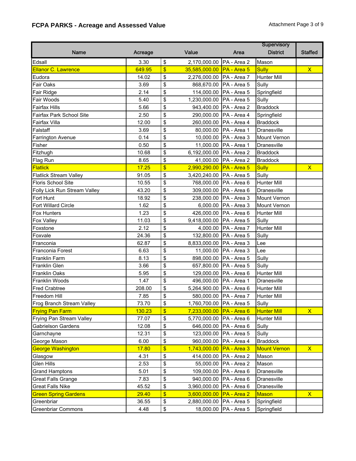# **FCPA PARKS - Acreage and Assessed Value Attachment Page 3 of 9** Attachment Page 3 of 9

|                               |         |                 |                            |                          | Supervisory         |                |
|-------------------------------|---------|-----------------|----------------------------|--------------------------|---------------------|----------------|
| <b>Name</b>                   | Acreage |                 | Value                      | Area                     | <b>District</b>     | <b>Staffed</b> |
| Edsall                        | 3.30    | \$              | 2,170,000.00               | PA - Area 2              | Mason               |                |
| Ellanor C. Lawrence           | 649.95  | \$              | 35,585,000.00              | $PR - Area 5$            | <b>Sully</b>        | $\mathsf{x}$   |
| Eudora                        | 14.02   | \$              | 2,276,000.00   PA - Area 7 |                          | <b>Hunter Mill</b>  |                |
| <b>Fair Oaks</b>              | 3.69    | \$              | 868,670.00                 | PA - Area 5              | Sully               |                |
| Fair Ridge                    | 2.14    | \$              | 114,000.00                 | PA - Area 5              | Springfield         |                |
| Fair Woods                    | 5.40    | \$              | 1,230,000.00               | PA - Area 5              | Sully               |                |
| <b>Fairfax Hills</b>          | 5.66    | \$              | 943,400.00                 | PA - Area 2              | <b>Braddock</b>     |                |
| Fairfax Park School Site      | 2.50    | \$              |                            | 290,000.00   PA - Area 4 | Springfield         |                |
| Fairfax Villa                 | 12.00   | \$              | 260,000.00 PA - Area 4     |                          | <b>Braddock</b>     |                |
| Falstaff                      | 3.69    | \$              |                            | 80,000.00   PA - Area 1  | Dranesville         |                |
| <b>Farrington Avenue</b>      | 0.14    | \$              |                            | 10,000.00 PA - Area 3    | Mount Vernon        |                |
| Fisher                        | 0.50    | \$              |                            | 11,000.00 PA - Area 1    | Dranesville         |                |
| Fitzhugh                      | 10.68   | \$              | 6,192,000.00               | PA - Area 2              | <b>Braddock</b>     |                |
| Flag Run                      | 8.65    | \$              |                            | 41,000.00 PA - Area 2    | <b>Braddock</b>     |                |
| Flatlick                      | 17.25   | \$              | 2,990,290.00               | $PR - Area 5$            | <b>Sully</b>        | $\mathsf{X}$   |
| <b>Flatlick Stream Valley</b> | 91.05   | \$              | 3,420,240.00   PA - Area 5 |                          | Sully               |                |
| <b>Floris School Site</b>     | 10.55   | \$              |                            | 768,000.00 PA - Area 6   | Hunter Mill         |                |
| Folly Lick Run Stream Valley  | 43.20   | \$              | 309,000.00                 | PA - Area 6              | Dranesville         |                |
| Fort Hunt                     | 18.92   | \$              | 238,000.00                 | PA - Area 3              | Mount Vernon        |                |
| Fort Willard Circle           | 1.62    | \$              | 6,000.00                   | PA - Area 3              | Mount Vernon        |                |
| <b>Fox Hunters</b>            | 1.23    | \$              | 426,000.00   PA - Area 6   |                          | <b>Hunter Mill</b>  |                |
| <b>Fox Valley</b>             | 11.03   | \$              | 9,418,000.00 PA - Area 5   |                          | Sully               |                |
| Foxstone                      | 2.12    | \$              |                            | 4,000.00   PA - Area 7   | Hunter Mill         |                |
| Foxvale                       | 24.36   | \$              |                            | 132,800.00   PA - Area 5 | Sully               |                |
| Franconia                     | 62.87   | \$              | 8,833,000.00               | PA - Area 3              | Lee                 |                |
| <b>Franconia Forest</b>       | 6.63    | \$              | 11,000.00                  | PA - Area 3              | Lee                 |                |
| <b>Franklin Farm</b>          | 8.13    | \$              | 898,000.00                 | PA - Area 5              | Sully               |                |
| Franklin Glen                 | 3.66    | \$              | 657,800.00   PA - Area 5   |                          | Sully               |                |
| <b>Franklin Oaks</b>          | 5.95    | \$              |                            | 129,000.00   PA - Area 6 | Hunter Mill         |                |
| Franklin Woods                | 1.47    | \$              | 496,000.00 PA - Area 1     |                          | Dranesville         |                |
| <b>Fred Crabtree</b>          | 208.00  | \$              | 5,264,900.00 PA - Area 6   |                          | <b>Hunter Mill</b>  |                |
| Freedom Hill                  | 7.85    | \$              |                            | 580,000.00 PA - Area 7   | <b>Hunter Mill</b>  |                |
| Frog Branch Stream Valley     | 73.70   | $\overline{\$}$ | 1,760,700.00 PA - Area 5   |                          | Sully               |                |
| <b>Frying Pan Farm</b>        | 130.23  | \$              | 7,233,000.00               | $PA - Area 6$            | <b>Hunter Mill</b>  | $\mathsf{X}$   |
| Frying Pan Stream Valley      | 77.07   | \$              | 5,770,000.00   PA - Area 6 |                          | Hunter Mill         |                |
| <b>Gabrielson Gardens</b>     | 12.08   | \$              | 646,000.00                 | PA - Area 6              | Sully               |                |
| Garnchayne                    | 12.31   | \$              | 123,000.00                 | PA - Area 5              | Sully               |                |
| George Mason                  | 6.00    | \$              | 960,000.00                 | PA - Area 4              | <b>Braddock</b>     |                |
| George Washington             | 17.80   | $\frac{1}{2}$   | 1,743,000.00               | PA - Area 3              | <b>Mount Vernon</b> | $\mathsf{X}$   |
| Glasgow                       | 4.31    | \$              | 414,000.00                 | PA - Area 2              | Mason               |                |
| Glen Hills                    | 2.53    | \$              | 55,000.00                  | PA - Area 2              | Mason               |                |
| <b>Grand Hamptons</b>         | 5.01    | \$              | 109,000.00                 | PA - Area 6              | Dranesville         |                |
| <b>Great Falls Grange</b>     | 7.83    | \$              | 940,000.00                 | PA - Area 6              | Dranesville         |                |
| <b>Great Falls Nike</b>       | 45.52   | \$              | 3,960,000.00               | PA - Area 6              | Dranesville         |                |
| <b>Green Spring Gardens</b>   | 29.40   | $\sqrt{3}$      | 3,600,000.00               | PA - Area 2              | <b>Mason</b>        | $\mathsf{X}$   |
| Greenbriar                    | 36.55   | \$              | 2,880,000.00               | PA - Area 5              | Springfield         |                |
| <b>Greenbriar Commons</b>     | 4.48    | $\pmb{\$}$      | 18,000.00                  | PA - Area 5              | Springfield         |                |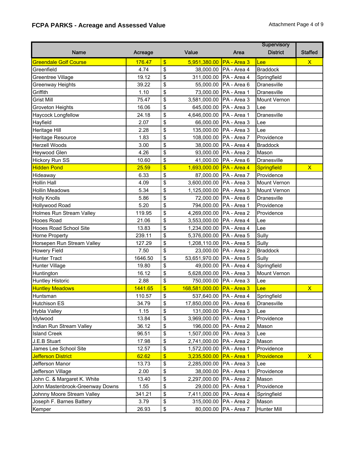# **FCPA PARKS - Acreage and Assessed Value Attachment Page 4 of 9** Attachment Page 4 of 9

|                                 |         |                         |                            |                          | Supervisory         |                         |
|---------------------------------|---------|-------------------------|----------------------------|--------------------------|---------------------|-------------------------|
| <b>Name</b>                     | Acreage |                         | Value                      | Area                     | <b>District</b>     | <b>Staffed</b>          |
| <b>Greendale Golf Course</b>    | 176.47  | $\frac{1}{2}$           | 5,951,380.00               | PA - Area 3              | Lee                 | $\mathsf{X}$            |
| Greenfield                      | 4.74    | \$                      |                            | 38,000.00   PA - Area 4  | <b>Braddock</b>     |                         |
| Greentree Village               | 19.12   | \$                      | 311,000.00 PA - Area 4     |                          | Springfield         |                         |
| Greenway Heights                | 39.22   | \$                      | 55,000.00                  | PA - Area 6              | Dranesville         |                         |
| Griffith                        | 1.10    | \$                      | 73,000.00                  | PA - Area 1              | Dranesville         |                         |
| <b>Grist Mill</b>               | 75.47   | \$                      | 3,581,000.00               | PA - Area 3              | Mount Vernon        |                         |
| <b>Groveton Heights</b>         | 16.06   | \$                      | 645,000.00                 | PA - Area 3              | Lee                 |                         |
| <b>Haycock Longfellow</b>       | 24.18   | \$                      | 4,646,000.00               | PA - Area 1              | Dranesville         |                         |
| Hayfield                        | 2.07    | \$                      |                            | 66,000.00 PA - Area 3    | Lee                 |                         |
| <b>Heritage Hill</b>            | 2.28    | \$                      | 135,000.00                 | PA - Area 3              | Lee                 |                         |
| Heritage Resource               | 1.83    | \$                      | 108,000.00                 | PA - Area 7              | Providence          |                         |
| <b>Herzell Woods</b>            | 3.00    | \$                      | 38,000.00                  | PA - Area 4              | <b>Braddock</b>     |                         |
| <b>Heywood Glen</b>             | 4.26    | \$                      | 93,000.00                  | PA - Area 2              | Mason               |                         |
| <b>Hickory Run SS</b>           | 10.60   | \$                      | 41,000.00                  | PA - Area 6              | Dranesville         |                         |
| <b>Hidden Pond</b>              | 25.59   | \$                      | 1,693,000.00               | $PA - Area 4$            | Springfield         | $\overline{\mathsf{X}}$ |
| Hideaway                        | 6.33    | \$                      | 87,000.00                  | PA - Area 7              | Providence          |                         |
| Hollin Hall                     | 4.09    | \$                      | 3,600,000.00               | PA - Area 3              | Mount Vernon        |                         |
| <b>Hollin Meadows</b>           | 5.34    | \$                      | 1,125,000.00               | PA - Area 3              | <b>Mount Vernon</b> |                         |
| <b>Holly Knolls</b>             | 5.86    | \$                      | 72,000.00                  | PA - Area 6              | Dranesville         |                         |
| Hollywood Road                  | 5.20    | \$                      | 794,000.00                 | PA - Area 1              | Providence          |                         |
| Holmes Run Stream Valley        | 119.95  | \$                      | 4,269,000.00   PA - Area 2 |                          | Providence          |                         |
| <b>Hooes Road</b>               | 21.06   | \$                      | 3,553,000.00   PA - Area 4 |                          | Lee                 |                         |
| Hooes Road School Site          | 13.83   | \$                      | 1,234,000.00               | PA - Area 4              | Lee                 |                         |
| Horne Property                  | 239.11  | \$                      | 5,376,000.00               | PA - Area 5              | Sully               |                         |
| Horsepen Run Stream Valley      | 127.29  | \$                      | 1,208,110.00               | PA - Area 5              | Sully               |                         |
| <b>Howery Field</b>             | 7.50    | \$                      | 23,000.00                  | PA - Area 2              | <b>Braddock</b>     |                         |
| <b>Hunter Tract</b>             | 1646.50 | \$                      | 53,651,970.00              | PA - Area 5              | Sully               |                         |
| <b>Hunter Village</b>           | 19.80   | \$                      |                            | 49,000.00   PA - Area 4  | Springfield         |                         |
| Huntington                      | 16.12   | \$                      | 5,628,000.00 PA - Area 3   |                          | Mount Vernon        |                         |
| <b>Huntley Historic</b>         | 2.88    | \$                      | 750,000.00 PA - Area 3     |                          | Lee                 |                         |
| <b>Huntley Meadows</b>          | 1441.65 | $\sqrt{3}$              | 168,581,000.00             | $PR - Area 3$            | Lee                 | $\overline{\mathsf{x}}$ |
| Huntsman                        | 110.57  | \$                      | 537,640.00 PA - Area 4     |                          | Springfield         |                         |
| <b>Hutchison ES</b>             | 34.79   | $\overline{\mathbf{S}}$ | 17,850,000.00 PA - Area 6  |                          | Dranesville         |                         |
| <b>Hybla Valley</b>             | 1.15    | \$                      |                            | 131,000.00   PA - Area 3 | Lee                 |                         |
| Idylwood                        | 13.84   | \$                      | 3,969,000.00   PA - Area 1 |                          | Providence          |                         |
| Indian Run Stream Valley        | 36.12   | \$                      |                            | 196,000.00 PA - Area 2   | Mason               |                         |
| <b>Island Creek</b>             | 96.51   | \$                      | 1,507,000.00               | PA - Area 3              | Lee                 |                         |
| J.E.B Stuart                    | 17.98   | \$                      | 2,741,000.00               | PA - Area 2              | Mason               |                         |
| James Lee School Site           | 12.57   | \$                      | 1,572,000.00               | PA - Area 1              | Providence          |                         |
| <b>Jefferson District</b>       | 62.62   | $\frac{1}{2}$           | 3,235,500.00               | PA - Area 1              | Providence          | $\mathsf{X}$            |
| Jefferson Manor                 | 13.73   | \$                      | 2,285,000.00               | PA - Area 3              | Lee                 |                         |
| Jefferson Village               | 2.00    | \$                      | 38,000.00                  | PA - Area 1              | Providence          |                         |
| John C. & Margaret K. White     | 13.40   | \$                      | 2,297,000.00               | PA - Area 2              | Mason               |                         |
| John Mastenbrook-Greenway Downs | 1.55    | \$                      | 29,000.00                  | PA - Area 1              | Providence          |                         |
| Johnny Moore Stream Valley      | 341.21  | \$                      | 7,411,000.00               | PA - Area 4              | Springfield         |                         |
| Joseph F. Barnes Battery        | 3.79    | \$                      | 315,000.00                 | PA - Area 2              | Mason               |                         |
| Kemper                          | 26.93   | \$                      | 80,000.00                  | PA - Area 7              | Hunter Mill         |                         |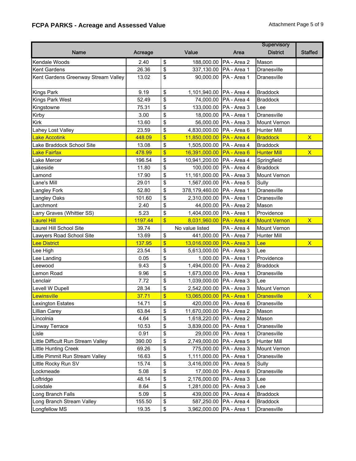# **FCPA PARKS - Acreage and Assessed Value Attachment Page 5 of 9** Attachment Page 5 of 9

|                                     |         |               |                             |                          | Supervisory         |                         |
|-------------------------------------|---------|---------------|-----------------------------|--------------------------|---------------------|-------------------------|
| <b>Name</b>                         | Acreage |               | Value                       | <b>Area</b>              | <b>District</b>     | <b>Staffed</b>          |
| Kendale Woods                       | 2.40    | \$            | 188,000.00                  | PA - Area 2              | Mason               |                         |
| Kent Gardens                        | 26.36   | \$            |                             | 337,130.00   PA - Area 1 | Dranesville         |                         |
| Kent Gardens Greenway Stream Valley | 13.02   | \$            |                             | 90,000.00   PA - Area 1  | Dranesville         |                         |
| <b>Kings Park</b>                   | 9.19    | \$            | 1,101,940.00                | PA - Area 4              | <b>Braddock</b>     |                         |
| <b>Kings Park West</b>              | 52.49   | \$            | 74,000.00                   | PA - Area 4              | <b>Braddock</b>     |                         |
| Kingstowne                          | 75.31   | \$            | 133,000.00                  | PA - Area 3              | Lee                 |                         |
| Kirby                               | 3.00    | \$            | 18,000.00                   | PA - Area 1              | Dranesville         |                         |
| <b>Kirk</b>                         | 13.60   | \$            |                             | 56,000.00 PA - Area 3    | Mount Vernon        |                         |
| Lahey Lost Valley                   | 23.59   | \$            | 4,830,000.00                | PA - Area 6              | Hunter Mill         |                         |
| <b>Lake Accotink</b>                | 448.09  | $\frac{1}{2}$ | 11,850,000.00               | PA - Area 4              | <b>Braddock</b>     | $\mathsf{X}$            |
| Lake Braddock School Site           | 13.08   | \$            | 1,505,000.00                | PA - Area 4              | <b>Braddock</b>     |                         |
| <b>Lake Fairfax</b>                 | 478.99  | $\frac{1}{2}$ | 16,391,000.00               | $PA - Area 6$            | <b>Hunter Mill</b>  | $\overline{\mathsf{X}}$ |
| Lake Mercer                         | 196.54  | \$            | 10,941,200.00               | PA - Area 4              | Springfield         |                         |
| Lakeside                            | 11.80   | \$            | 100,000.00                  | PA - Area 4              | <b>Braddock</b>     |                         |
| Lamond                              | 17.90   | \$            | 11,161,000.00               | PA - Area 3              | Mount Vernon        |                         |
| Lane's Mill                         | 29.01   | \$            | 1,567,000.00                | PA - Area 5              | Sully               |                         |
| <b>Langley Fork</b>                 | 52.80   | \$            | 378,179,460.00              | PA - Area 1              | Dranesville         |                         |
| <b>Langley Oaks</b>                 | 101.60  | \$            | 2,310,000.00                | PA - Area 1              | Dranesville         |                         |
| Larchmont                           | 2.40    | \$            | 44,000.00                   | PA - Area 2              | Mason               |                         |
| Larry Graves (Whittier SS)          | 5.23    | \$            | 1,404,000.00 PA - Area 1    |                          | Providence          |                         |
| <b>Laurel Hill</b>                  | 1197.44 | $\frac{1}{2}$ | 8,031,960.00                | PA - Area 4              | <b>Mount Vernon</b> | $\mathsf{X}$            |
| Laurel Hill School Site             | 39.74   |               | No value listed             | PA - Area 4              | Mount Vernon        |                         |
| Lawyers Road School Site            | 13.69   | \$            | 441,000.00                  | PA - Area 7              | Hunter Mill         |                         |
| <b>Lee District</b>                 | 137.95  | $\frac{1}{2}$ | 13,016,000.00               | $PA - Area 3$            | Lee                 | $\mathsf{X}$            |
| Lee High                            | 23.54   | \$            | 5,613,000.00                | PA - Area 3              | Lee                 |                         |
| Lee Landing                         | 0.05    | \$            | 1,000.00                    | PA - Area 1              | Providence          |                         |
| Leewood                             | 9.43    | \$            | 1,494,000.00   PA - Area 2  |                          | <b>Braddock</b>     |                         |
| Lemon Road                          | 9.96    | \$            | 1,673,000.00 PA - Area 1    |                          | Dranesville         |                         |
| Lenclair                            | 7.72    | \$            | 1,039,000.00 PA - Area 3    |                          | Lee                 |                         |
| Levell W Dupell                     | 28.34   | \$            | 2,542,000.00 PA - Area 3    |                          | Mount Vernon        |                         |
| Lewinsville                         | 37.71   | $\frac{1}{2}$ | 13,065,000.00 PA - Area 1   |                          | <b>Dranesville</b>  | $\overline{\mathsf{X}}$ |
| Lexington Estates                   | 14.71   | \$            |                             | 420,000.00 PA - Area 6   | Dranesville         |                         |
| <b>Lillian Carey</b>                | 63.84   | \$            | 11,670,000.00   PA - Area 2 |                          | Mason               |                         |
| Lincolnia                           | 4.64    | \$            | 1,618,220.00   PA - Area 2  |                          | Mason               |                         |
| <b>Linway Terrace</b>               | 10.53   | \$            | 3,839,000.00                | PA - Area 1              | Dranesville         |                         |
| Lisle                               | 0.91    | \$            | 29,000.00                   | PA - Area 1              | Dranesville         |                         |
| Little Difficult Run Stream Valley  | 390.00  | \$            | 2,749,000.00                | PA - Area 5              | Hunter Mill         |                         |
| <b>Little Hunting Creek</b>         | 69.26   | \$            | 775,000.00                  | PA - Area 3              | Mount Vernon        |                         |
| Little Pimmit Run Stream Valley     | 16.63   | \$            | 1,111,000.00   PA - Area 1  |                          | Dranesville         |                         |
| Little Rocky Run SV                 | 15.74   | \$            | 3,416,000.00                | PA - Area 5              | Sully               |                         |
| Lockmeade                           | 5.08    | \$            | 17,000.00                   | PA - Area 6              | Dranesville         |                         |
| Loftridge                           | 48.14   | \$            | 2,176,000.00                | PA - Area 3              | Lee                 |                         |
| Loisdale                            | 8.64    | \$            | 1,281,000.00                | PA - Area 3              | Lee                 |                         |
| Long Branch Falls                   | 5.09    | \$            | 439,000.00                  | PA - Area 4              | <b>Braddock</b>     |                         |
| Long Branch Stream Valley           | 155.50  | \$            | 587,250.00                  | PA - Area 4              | <b>Braddock</b>     |                         |
| Longfellow MS                       | 19.35   | $\pmb{\$}$    | 3,962,000.00                | PA - Area 1              | Dranesville         |                         |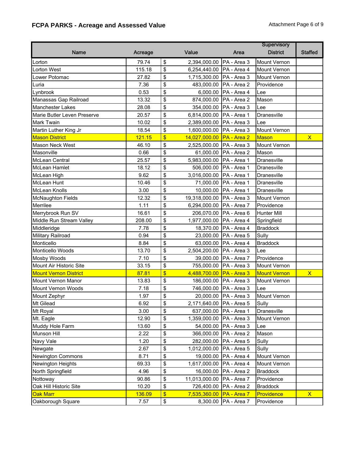# **FCPA PARKS - Acreage and Assessed Value Attachment Page 6 of 9** Attachment Page 6 of 9

|                              |         |                 |                            |                          | Supervisory         |                |
|------------------------------|---------|-----------------|----------------------------|--------------------------|---------------------|----------------|
| <b>Name</b>                  | Acreage |                 | Value                      | <b>Area</b>              | <b>District</b>     | <b>Staffed</b> |
| Lorton                       | 79.74   | \$              | 2,394,000.00               | PA - Area 3              | Mount Vernon        |                |
| <b>Lorton West</b>           | 115.18  | \$              | 6,254,440.00   PA - Area 4 |                          | <b>Mount Vernon</b> |                |
| Lower Potomac                | 27.82   | \$              | 1,715,300.00   PA - Area 3 |                          | Mount Vernon        |                |
| Luria                        | 7.36    | \$              | 483,000.00                 | PA - Area 2              | Providence          |                |
| Lynbrook                     | 0.53    | \$              | 6,000.00                   | PA - Area 4              | Lee                 |                |
| Manassas Gap Railroad        | 13.32   | \$              | 874,000.00                 | PA - Area 2              | Mason               |                |
| <b>Manchester Lakes</b>      | 28.08   | \$              | 354,000.00                 | PA - Area 3              | Lee                 |                |
| Marie Butler Leven Preserve  | 20.57   | \$              | 6,814,000.00 PA - Area 1   |                          | Dranesville         |                |
| <b>Mark Twain</b>            | 10.02   | \$              | 2,389,000.00 PA - Area 3   |                          | Lee                 |                |
| Martin Luther King Jr        | 18.54   | \$              | 1,600,000.00               | PA - Area 3              | Mount Vernon        |                |
| <b>Mason District</b>        | 121.15  | $\sqrt{3}$      | 14,027,000.00              | PA - Area 2              | Mason               | $\mathsf{X}$   |
| Mason Neck West              | 46.10   | \$              | 2,525,000.00               | PA - Area 3              | Mount Vernon        |                |
| Masonville                   | 0.66    | \$              | 61,000.00                  | PA - Area 2              | Mason               |                |
| <b>McLean Central</b>        | 25.57   | \$              | 5,983,000.00               | PA - Area 1              | Dranesville         |                |
| McLean Hamlet                | 18.12   | \$              | 506,000.00                 | PA - Area 1              | Dranesville         |                |
| McLean High                  | 9.62    | \$              | 3,016,000.00               | PA - Area 1              | Dranesville         |                |
| <b>McLean Hunt</b>           | 10.46   | \$              | 71,000.00                  | PA - Area 1              | Dranesville         |                |
| <b>McLean Knolls</b>         | 3.00    | \$              | 10,000.00                  | PA - Area 1              | Dranesville         |                |
| <b>McNaughton Fields</b>     | 12.32   | \$              | 19,318,000.00              | PA - Area 3              | Mount Vernon        |                |
| Merrilee                     | 1.11    | \$              | 6,294,000.00               | PA - Area 7              | Providence          |                |
| Merrybrook Run SV            | 16.61   | \$              | 206,070.00   PA - Area 6   |                          | Hunter Mill         |                |
| Middle Run Stream Valley     | 208.00  | \$              | 1,977,000.00   PA - Area 4 |                          | Springfield         |                |
| Middleridge                  | 7.78    | \$              | 18,370.00                  | PA - Area 4              | <b>Braddock</b>     |                |
| Military Railroad            | 0.94    | \$              | 23,000.00                  | PA - Area 5              | Sully               |                |
| Monticello                   | 8.84    | \$              | 63,000.00                  | PA - Area 4              | <b>Braddock</b>     |                |
| Monticello Woods             | 13.70   | \$              | 2,504,200.00               | PA - Area 3              | Lee                 |                |
| <b>Mosby Woods</b>           | 7.10    | \$              | 39,000.00                  | PA - Area 7              | Providence          |                |
| Mount Air Historic Site      | 33.15   | \$              | 755,000.00   PA - Area 3   |                          | Mount Vernon        |                |
| <b>Mount Vernon District</b> | 87.81   | \$              | 4,488,700.00               | PA - Area 3              | <b>Mount Vernon</b> | $\mathsf{x}$   |
| <b>Mount Vernon Manor</b>    | 13.83   | \$              |                            | 186,000.00   PA - Area 3 | Mount Vernon        |                |
| Mount Vernon Woods           | 7.18    | \$              | 746,000.00 PA - Area 3     |                          | Lee                 |                |
| Mount Zephyr                 | 1.97    | \$              |                            | 20,000.00 PA - Area 3    | <b>Mount Vernon</b> |                |
| Mt Gilead                    | 6.92    | $\overline{\$}$ | 2,171,640.00 PA - Area 5   |                          | Sully               |                |
| Mt Royal                     | 3.00    | \$              | 637,000.00 PA - Area 1     |                          | Dranesville         |                |
| Mt. Eagle                    | 12.90   | \$              | 1,359,000.00   PA - Area 3 |                          | Mount Vernon        |                |
| Muddy Hole Farm              | 13.60   | \$              | 54,000.00                  | PA - Area 3              | Lee                 |                |
| Munson Hill                  | 2.22    | \$              | 366,000.00                 | PA - Area 2              | Mason               |                |
| Navy Vale                    | 1.20    | \$              | 282,000.00                 | PA - Area 5              | Sully               |                |
| Newgate                      | 2.67    | \$              | 1,012,000.00               | PA - Area 5              | Sully               |                |
| <b>Newington Commons</b>     | 8.71    | \$              | 19,000.00                  | PA - Area 4              | Mount Vernon        |                |
| <b>Newington Heights</b>     | 69.33   | \$              | 1,617,000.00               | PA - Area 4              | Mount Vernon        |                |
| North Springfield            | 4.96    | \$              | 16,000.00                  | PA - Area 2              | <b>Braddock</b>     |                |
| Nottoway                     | 90.86   | \$              | 11,013,000.00              | PA - Area 7              | Providence          |                |
| Oak Hill Historic Site       | 10.20   | \$              | 726,400.00                 | PA - Area 2              | <b>Braddock</b>     |                |
| <b>Oak Marr</b>              | 136.09  | $\frac{1}{2}$   | 7,535,360.00               | PA - Area 7              | Providence          | $\mathsf{X}$   |
| Oakborough Square            | 7.57    | \$              | 8,300.00                   | PA - Area 7              | Providence          |                |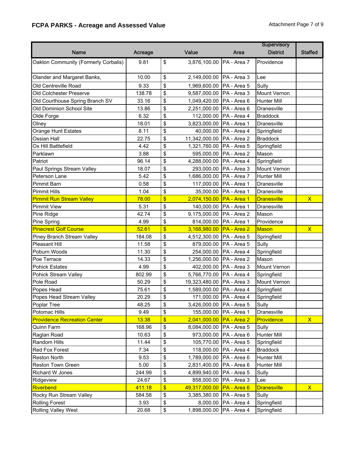#### **FCPA PARKS - Acreage and Assessed Value Attachment Page 7 of 9** Attachment Page 7 of 9

|                                      |         |                                  |                    | Supervisory         |                         |
|--------------------------------------|---------|----------------------------------|--------------------|---------------------|-------------------------|
| Name                                 | Acreage | Value                            | Area               | <b>District</b>     | <b>Staffed</b>          |
| Oakton Community (Formerly Corbalis) | 9.81    | \$<br>3,876,100.00               | PA - Area 7        | Providence          |                         |
| Olander and Margaret Banks,          | 10.00   | \$<br>2,149,000.00               | <b>PA</b> - Area 3 | Lee                 |                         |
| Old Centreville Road                 | 9.33    | \$<br>1,969,600.00               | PA - Area 5        | Sully               |                         |
| <b>Old Colchester Preserve</b>       | 138.78  | \$<br>9,587,000.00               | PA - Area 3        | Mount Vernon        |                         |
| Old Courthouse Spring Branch SV      | 33.16   | \$<br>1,049,420.00 PA - Area 6   |                    | <b>Hunter Mill</b>  |                         |
| Old Dominion School Site             | 13.86   | \$<br>2,251,000.00   PA - Area 6 |                    | Dranesville         |                         |
| Olde Forge                           | 6.32    | \$<br>112,000.00                 | PA - Area 4        | <b>Braddock</b>     |                         |
| Olney                                | 18.01   | \$<br>3,823,000.00               | PA - Area 1        | Dranesville         |                         |
| Orange Hunt Estates                  | 8.11    | \$<br>40,000.00                  | PA - Area 4        | Springfield         |                         |
| Ossian Hall                          | 22.75   | \$<br>11,342,000.00              | PA - Area 2        | <b>Braddock</b>     |                         |
| Ox Hill Battlefield                  | 4.42    | \$<br>1,321,760.00               | PA - Area 5        | Springfield         |                         |
| Parklawn                             | 3.88    | \$<br>595,000.00                 | PA - Area 2        | Mason               |                         |
| Patriot                              | 96.14   | \$<br>4,288,000.00               | PA - Area 4        | Springfield         |                         |
| Paul Springs Stream Valley           | 18.07   | \$<br>293,000.00                 | PA - Area 3        | Mount Vernon        |                         |
| Peterson Lane                        | 5.42    | \$<br>1,686,000.00               | PA - Area 7        | <b>Hunter Mill</b>  |                         |
| <b>Pimmit Barn</b>                   | 0.58    | \$<br>117,000.00                 | PA - Area 1        | Dranesville         |                         |
| <b>Pimmit Hills</b>                  | 1.04    | \$<br>35,000.00                  | PA - Area 1        | Dranesville         |                         |
| <b>Pimmit Run Stream Valley</b>      | 78.00   | \$<br>2,074,150.00               | PA - Area 1        | <b>Dranesville</b>  | $\overline{\mathsf{x}}$ |
| <b>Pimmit View</b>                   | 5.31    | \$<br>140,000.00                 | PA - Area 1        | Dranesville         |                         |
| Pine Ridge                           | 42.74   | \$<br>9,175,000.00               | PA - Area 2        | Mason               |                         |
| Pine Spring                          | 4.99    | \$<br>814,000.00                 | PA - Area 1        | Providence          |                         |
| <b>Pinecrest Golf Course</b>         | 52.61   | \$<br>3,168,980.00               | PA - Area 2        | Mason               | $\mathsf{X}$            |
| Piney Branch Stream Valley           | 184.08  | \$<br>4,512,300.00               | PA - Area 5        | Springfield         |                         |
| Pleasant Hill                        | 11.58   | \$<br>879,000.00                 | PA - Area 5        | Sully               |                         |
| Poburn Woods                         | 11.30   | \$<br>254,000.00                 | PA - Area 4        | Springfield         |                         |
| Poe Terrace                          | 14.33   | \$<br>1,256,000.00               | PA - Area 2        | Mason               |                         |
| <b>Pohick Estates</b>                | 4.99    | \$<br>402,000.00                 | PA - Area 3        | Mount Vernon        |                         |
| Pohick Stream Valley                 | 802.99  | \$<br>5,766,770.00               | PA - Area 4        | Springfield         |                         |
| Pole Road                            | 50.29   | \$<br>19,323,480.00              | PA - Area 3        | <b>Mount Vernon</b> |                         |
| Popes Head                           | 75.61   | \$<br>1,589,000.00               | PA - Area 4        | Springfield         |                         |
| Popes Head Stream Valley             | 20.29   | \$<br>171,000.00                 | PA - Area 4        | Springfield         |                         |
| Poplar Tree                          | 48.25   | \$<br>3,426,000.00               | PA - Area 5        | Sully               |                         |
| Potomac Hills                        | 9.49    | \$<br>155,000.00                 | PA - Area 1        | Dranesville         |                         |
| <b>Providence Recreation Center</b>  | 13.38   | \$<br>2,041,000.00               | PA - Area 2        | Providence          | $\overline{X}$          |
| Quinn Farm                           | 168.96  | \$<br>8,084,000.00               | PA - Area 5        | Sully               |                         |
| Raglan Road                          | 10.63   | \$<br>973,000.00                 | PA - Area 6        | Hunter Mill         |                         |
| Random Hills                         | 11.44   | \$<br>105,770.00                 | PA - Area 5        | Springfield         |                         |
| Red Fox Forest                       | 7.34    | \$<br>118,000.00                 | PA - Area 4        | <b>Braddock</b>     |                         |
| <b>Reston North</b>                  | 9.53    | \$<br>1,789,000.00               | PA - Area 6        | Hunter Mill         |                         |
| Reston Town Green                    | 5.00    | \$<br>2,831,400.00               | PA - Area 6        | Hunter Mill         |                         |
| Richard W Jones                      | 244.99  | \$<br>4,899,940.00               | PA - Area 5        | Sully               |                         |
| Ridgeview                            | 24.67   | \$<br>858,000.00                 | PA - Area 3        | Lee                 |                         |
| Riverbend                            | 411.18  | \$<br>49,317,000.00              | PA - Area 6        | <b>Dranesville</b>  | $\mathsf{X}$            |
| Rocky Run Stream Valley              | 584.58  | \$<br>3,385,380.00               | PA - Area 5        | Sully               |                         |
| <b>Rolling Forest</b>                | 3.93    | \$<br>8,000.00                   | PA - Area 4        | Springfield         |                         |
| Rolling Valley West                  | 20.68   | \$<br>1,898,000.00               | PA - Area 4        | Springfield         |                         |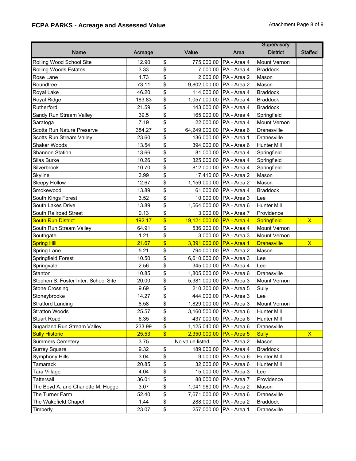# **FCPA PARKS - Acreage and Assessed Value Attachment Page 8 of 9** Attachment Page 8 of 9

|                                      |         |               |                          |                        | Supervisory        |                |
|--------------------------------------|---------|---------------|--------------------------|------------------------|--------------------|----------------|
| <b>Name</b>                          | Acreage |               | Value                    | Area                   | <b>District</b>    | <b>Staffed</b> |
| Rolling Wood School Site             | 12.90   | \$            | 775,000.00               | PA - Area 4            | Mount Vernon       |                |
| <b>Rolling Woods Estates</b>         | 3.33    | \$            | 7,000.00                 | PA - Area 4            | <b>Braddock</b>    |                |
| Rose Lane                            | 1.73    | \$            |                          | 2,000.00 PA - Area 2   | Mason              |                |
| Roundtree                            | 73.11   | \$            | 9,802,000.00             | PA - Area 2            | Mason              |                |
| Royal Lake                           | 46.20   | \$            | 114,000.00               | PA - Area 4            | <b>Braddock</b>    |                |
| Royal Ridge                          | 183.83  | \$            | 1,057,000.00             | PA - Area 4            | <b>Braddock</b>    |                |
| Rutherford                           | 21.59   | \$            | 143,000.00               | PA - Area 4            | <b>Braddock</b>    |                |
| Sandy Run Stream Valley              | 39.5    | \$            | 165,000.00               | PA - Area 4            | Springfield        |                |
| Saratoga                             | 7.19    | \$            | 22,000.00                | PA - Area 4            | Mount Vernon       |                |
| Scotts Run Nature Preserve           | 384.27  | \$            | 64,249,000.00            | PA - Area 6            | Dranesville        |                |
| <b>Scotts Run Stream Valley</b>      | 23.60   | \$            | 136,000.00               | PA - Area 1            | Dranesville        |                |
| <b>Shaker Woods</b>                  | 13.54   | \$            | 394,000.00               | PA - Area 6            | Hunter Mill        |                |
| <b>Shannon Station</b>               | 13.66   | \$            | 81,000.00                | PA - Area 4            | Springfield        |                |
| Silas Burke                          | 10.26   | \$            | 325,000.00               | PA - Area 4            | Springfield        |                |
| Silverbrook                          | 10.70   | \$            | 812,000.00               | PA - Area 4            | Springfield        |                |
| Skyline                              | 3.99    | \$            | 17,410.00                | PA - Area 2            | Mason              |                |
| <b>Sleepy Hollow</b>                 | 12.67   | \$            | 1,159,000.00             | PA - Area 2            | Mason              |                |
| Smokewood                            | 13.89   | \$            | 61,000.00                | PA - Area 4            | <b>Braddock</b>    |                |
| South Kings Forest                   | 3.52    | \$            | 10,000.00                | PA - Area 3            | Lee                |                |
| South Lakes Drive                    | 13.89   | \$            | 1,564,000.00             | PA - Area 6            | Hunter Mill        |                |
| South Railroad Street                | 0.13    | \$            |                          | 3,000.00   PA - Area 7 | Providence         |                |
| <b>South Run District</b>            | 192.17  | $\frac{1}{2}$ | 19,121,000.00            | PA - Area 4            | Springfield        | $\mathsf{X}$   |
| South Run Stream Valley              | 64.91   | \$            | 536,200.00               | PA - Area 4            | Mount Vernon       |                |
| Southgate                            | 1.21    | \$            | 3,000.00                 | PA - Area 3            | Mount Vernon       |                |
| <b>Spring Hill</b>                   | 21.67   | $\frac{1}{2}$ | 3,391,000.00             | PA - Area 1            | <b>Dranesville</b> | $\mathsf{X}$   |
| Spring Lane                          | 5.21    | \$            | 794,000.00               | PA - Area 2            | Mason              |                |
| <b>Springfield Forest</b>            | 10.50   | \$            | 6,610,000.00             | PA - Area 3            | Lee                |                |
| Springvale                           | 2.56    | \$            | 345,000.00               | PA - Area 4            | Lee                |                |
| Stanton                              | 10.85   | \$            | 1,805,000.00             | PA - Area 6            | Dranesville        |                |
| Stephen S. Foster Inter. School Site | 20.00   | \$            | 5,381,000.00             | PA - Area 3            | Mount Vernon       |                |
| <b>Stone Crossing</b>                | 9.69    | \$            | 210,300.00               | PA - Area 5            | Sully              |                |
| Stoneybrooke                         | 14.27   | \$            | 444,000.00               | PA - Area 3            | Lee                |                |
| Stratford Landing                    | 8.58    | \$            | 1,829,000.00 PA - Area 3 |                        | Mount Vernon       |                |
| <b>Stratton Woods</b>                | 25.57   | \$            | 3,160,500.00             | PA - Area 6            | Hunter Mill        |                |
| <b>Stuart Road</b>                   | 6.35    | \$            | 437,000.00               | PA - Area 6            | Hunter Mill        |                |
| Sugarland Run Stream Valley          | 233.99  | \$            | 1,125,040.00             | PA - Area 6            | Dranesville        |                |
| <b>Sully Historic</b>                | 25.53   | $\sqrt[6]{3}$ | 2,350,000.00             | PA - Area 5            | <b>Sully</b>       | $\mathsf{X}$   |
| <b>Summers Cemetery</b>              | 3.75    |               | No value listed          | PA - Area 2            | Mason              |                |
| <b>Surrey Square</b>                 | 9.32    | \$            | 189,000.00               | PA - Area 4            | <b>Braddock</b>    |                |
| <b>Symphony Hills</b>                | 3.04    | \$            | 9,000.00                 | PA - Area 6            | Hunter Mill        |                |
| Tamarack                             | 20.85   | \$            | 32,000.00                | PA - Area 6            | Hunter Mill        |                |
| Tara Village                         | 4.04    | \$            | 15,000.00                | PA - Area 3            | Lee                |                |
| Tattersall                           | 36.01   | \$            | 88,000.00                | PA - Area 7            | Providence         |                |
| The Boyd A. and Charlotte M. Hogge   | 3.07    | \$            | 1,041,960.00             | PA - Area 2            | Mason              |                |
| The Turner Farm                      | 52.40   | \$            | 7,671,000.00             | PA - Area 6            | Dranesville        |                |
| The Wakefield Chapel                 | 1.44    | \$            | 288,000.00               | PA - Area 2            | <b>Braddock</b>    |                |
| Timberly                             | 23.07   | \$            | 257,000.00               | PA - Area 1            | Dranesville        |                |